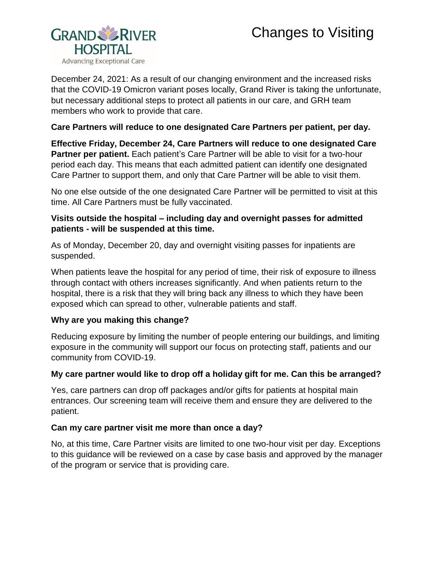# Changes to Visiting



December 24, 2021: As a result of our changing environment and the increased risks that the COVID-19 Omicron variant poses locally, Grand River is taking the unfortunate, but necessary additional steps to protect all patients in our care, and GRH team members who work to provide that care.

## **Care Partners will reduce to one designated Care Partners per patient, per day.**

**Effective Friday, December 24, Care Partners will reduce to one designated Care Partner per patient.** Each patient's Care Partner will be able to visit for a two-hour period each day. This means that each admitted patient can identify one designated Care Partner to support them, and only that Care Partner will be able to visit them.

No one else outside of the one designated Care Partner will be permitted to visit at this time. All Care Partners must be fully vaccinated.

# **Visits outside the hospital – including day and overnight passes for admitted patients - will be suspended at this time.**

As of Monday, December 20, day and overnight visiting passes for inpatients are suspended.

When patients leave the hospital for any period of time, their risk of exposure to illness through contact with others increases significantly. And when patients return to the hospital, there is a risk that they will bring back any illness to which they have been exposed which can spread to other, vulnerable patients and staff.

### **Why are you making this change?**

Reducing exposure by limiting the number of people entering our buildings, and limiting exposure in the community will support our focus on protecting staff, patients and our community from COVID-19.

### **My care partner would like to drop off a holiday gift for me. Can this be arranged?**

Yes, care partners can drop off packages and/or gifts for patients at hospital main entrances. Our screening team will receive them and ensure they are delivered to the patient.

### **Can my care partner visit me more than once a day?**

No, at this time, Care Partner visits are limited to one two-hour visit per day. Exceptions to this guidance will be reviewed on a case by case basis and approved by the manager of the program or service that is providing care.